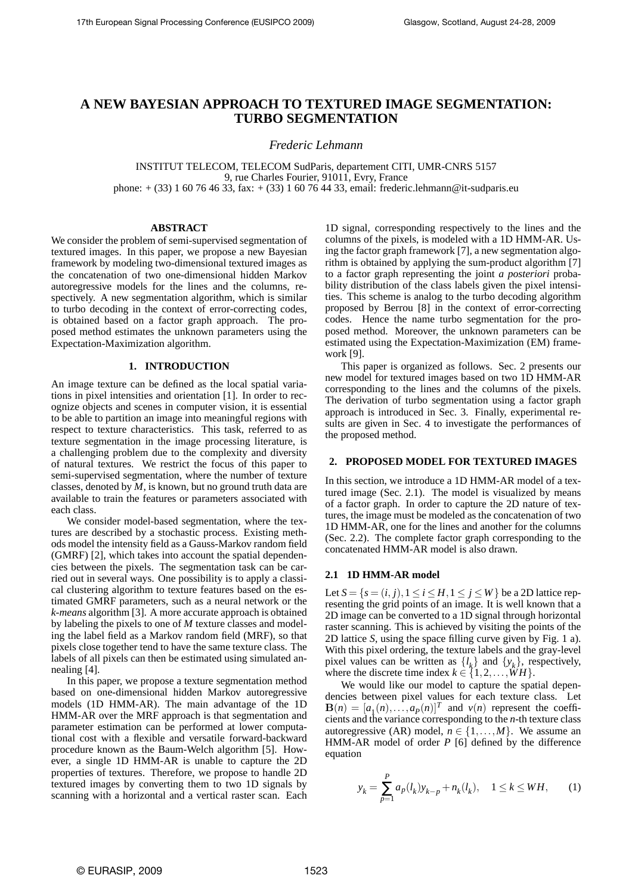# **A NEW BAYESIAN APPROACH TO TEXTURED IMAGE SEGMENTATION: TURBO SEGMENTATION**

*Frederic Lehmann*

INSTITUT TELECOM, TELECOM SudParis, departement CITI, UMR-CNRS 5157 9, rue Charles Fourier, 91011, Evry, France phone:  $+$  (33) 1 60 76 46 33, fax:  $+$  (33) 1 60 76 44 33, email: frederic.lehmann@it-sudparis.eu

## **ABSTRACT**

We consider the problem of semi-supervised segmentation of textured images. In this paper, we propose a new Bayesian framework by modeling two-dimensional textured images as the concatenation of two one-dimensional hidden Markov autoregressive models for the lines and the columns, respectively. A new segmentation algorithm, which is similar to turbo decoding in the context of error-correcting codes, is obtained based on a factor graph approach. The proposed method estimates the unknown parameters using the Expectation-Maximization algorithm.

## **1. INTRODUCTION**

An image texture can be defined as the local spatial variations in pixel intensities and orientation [1]. In order to recognize objects and scenes in computer vision, it is essential to be able to partition an image into meaningful regions with respect to texture characteristics. This task, referred to as texture segmentation in the image processing literature, is a challenging problem due to the complexity and diversity of natural textures. We restrict the focus of this paper to semi-supervised segmentation, where the number of texture classes, denoted by *M*, is known, but no ground truth data are available to train the features or parameters associated with each class.

We consider model-based segmentation, where the textures are described by a stochastic process. Existing methods model the intensity field as a Gauss-Markov random field (GMRF) [2], which takes into account the spatial dependencies between the pixels. The segmentation task can be carried out in several ways. One possibility is to apply a classical clustering algorithm to texture features based on the estimated GMRF parameters, such as a neural network or the *k-means* algorithm [3]. A more accurate approach is obtained by labeling the pixels to one of *M* texture classes and modeling the label field as a Markov random field (MRF), so that pixels close together tend to have the same texture class. The labels of all pixels can then be estimated using simulated annealing [4].

In this paper, we propose a texture segmentation method based on one-dimensional hidden Markov autoregressive models (1D HMM-AR). The main advantage of the 1D HMM-AR over the MRF approach is that segmentation and parameter estimation can be performed at lower computational cost with a flexible and versatile forward-backward procedure known as the Baum-Welch algorithm [5]. However, a single 1D HMM-AR is unable to capture the 2D properties of textures. Therefore, we propose to handle 2D textured images by converting them to two 1D signals by scanning with a horizontal and a vertical raster scan. Each

1D signal, corresponding respectively to the lines and the columns of the pixels, is modeled with a 1D HMM-AR. Using the factor graph framework [7], a new segmentation algorithm is obtained by applying the sum-product algorithm [7] to a factor graph representing the joint *a posteriori* probability distribution of the class labels given the pixel intensities. This scheme is analog to the turbo decoding algorithm proposed by Berrou [8] in the context of error-correcting codes. Hence the name turbo segmentation for the proposed method. Moreover, the unknown parameters can be estimated using the Expectation-Maximization (EM) framework [9].

This paper is organized as follows. Sec. 2 presents our new model for textured images based on two 1D HMM-AR corresponding to the lines and the columns of the pixels. The derivation of turbo segmentation using a factor graph approach is introduced in Sec. 3. Finally, experimental results are given in Sec. 4 to investigate the performances of the proposed method.

## **2. PROPOSED MODEL FOR TEXTURED IMAGES**

In this section, we introduce a 1D HMM-AR model of a textured image (Sec. 2.1). The model is visualized by means of a factor graph. In order to capture the 2D nature of textures, the image must be modeled as the concatenation of two 1D HMM-AR, one for the lines and another for the columns (Sec. 2.2). The complete factor graph corresponding to the concatenated HMM-AR model is also drawn.

#### **2.1 1D HMM-AR model**

Let  $S = \{s = (i, j), 1 \le i \le H, 1 \le j \le W\}$  be a 2D lattice representing the grid points of an image. It is well known that a 2D image can be converted to a 1D signal through horizontal raster scanning. This is achieved by visiting the points of the 2D lattice *S*, using the space filling curve given by Fig. 1 a). With this pixel ordering, the texture labels and the gray-level pixel values can be written as  $\{l_k\}$  and  $\{y_k\}$ , respectively, where the discrete time index  $k \in \{1, 2, ..., WH\}$ .

We would like our model to capture the spatial dependencies between pixel values for each texture class. Let  $\mathbf{B}(n) = [a_1(n), \ldots, a_p(n)]^T$  and  $v(n)$  represent the coefficients and the variance corresponding to the *n*-th texture class autoregressive (AR) model,  $n \in \{1, ..., M\}$ . We assume an HMM-AR model of order *P* [6] defined by the difference equation

$$
y_k = \sum_{p=1}^{P} a_p(l_k) y_{k-p} + n_k(l_k), \quad 1 \le k \le WH,
$$
 (1)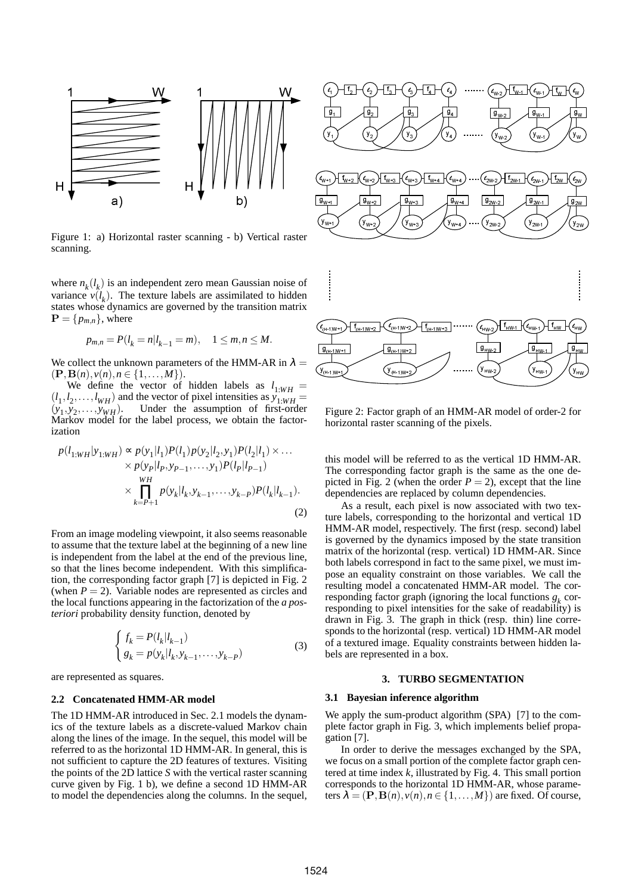

Figure 1: a) Horizontal raster scanning - b) Vertical raster scanning.

where  $n_k(l_k)$  is an independent zero mean Gaussian noise of variance  $v(l_k)$ . The texture labels are assimilated to hidden states whose dynamics are governed by the transition matrix  $\mathbf{P} = \{p_{m,n}\},\text{ where}$ 

$$
p_{m,n} = P(l_k = n | l_{k-1} = m), \quad 1 \le m, n \le M.
$$

We collect the unknown parameters of the HMM-AR in  $\lambda =$  $(P, B(n), v(n), n \in \{1, ..., M\}).$ 

We define the vector of hidden labels as  $l_{1:WH}$  =  $(l_1, l_2, \ldots, l_{WH})$  and the vector of pixel intensities as  $y_{1:WH}$  =  $(y_1, y_2)$ Under the assumption of first-order Markov model for the label process, we obtain the factorization

$$
p(l_{1:WH}|y_{1:WH}) \propto p(y_1|l_1)P(l_1)p(y_2|l_2, y_1)P(l_2|l_1) \times \dots \times p(y_p|l_p, y_{p-1}, \dots, y_1)P(l_p|l_{p-1})
$$
  
 
$$
\times \prod_{k=P+1}^{WH} p(y_k|l_k, y_{k-1}, \dots, y_{k-P})P(l_k|l_{k-1}).
$$
 (2)

From an image modeling viewpoint, it also seems reasonable to assume that the texture label at the beginning of a new line is independent from the label at the end of the previous line, so that the lines become independent. With this simplification, the corresponding factor graph [7] is depicted in Fig. 2 (when  $P = 2$ ). Variable nodes are represented as circles and the local functions appearing in the factorization of the *a posteriori* probability density function, denoted by

$$
\begin{cases} f_k = P(l_k|l_{k-1}) \\ g_k = p(y_k|l_k, y_{k-1}, \dots, y_{k-P}) \end{cases}
$$
 (3)

are represented as squares.

#### **2.2 Concatenated HMM-AR model**

The 1D HMM-AR introduced in Sec. 2.1 models the dynamics of the texture labels as a discrete-valued Markov chain along the lines of the image. In the sequel, this model will be referred to as the horizontal 1D HMM-AR. In general, this is not sufficient to capture the 2D features of textures. Visiting the points of the 2D lattice *S* with the vertical raster scanning curve given by Fig. 1 b), we define a second 1D HMM-AR to model the dependencies along the columns. In the sequel,



Figure 2: Factor graph of an HMM-AR model of order-2 for horizontal raster scanning of the pixels.

this model will be referred to as the vertical 1D HMM-AR. The corresponding factor graph is the same as the one depicted in Fig. 2 (when the order  $P = 2$ ), except that the line dependencies are replaced by column dependencies.

As a result, each pixel is now associated with two texture labels, corresponding to the horizontal and vertical 1D HMM-AR model, respectively. The first (resp. second) label is governed by the dynamics imposed by the state transition matrix of the horizontal (resp. vertical) 1D HMM-AR. Since both labels correspond in fact to the same pixel, we must impose an equality constraint on those variables. We call the resulting model a concatenated HMM-AR model. The corresponding factor graph (ignoring the local functions  $g_k$  corresponding to pixel intensities for the sake of readability) is drawn in Fig. 3. The graph in thick (resp. thin) line corresponds to the horizontal (resp. vertical) 1D HMM-AR model of a textured image. Equality constraints between hidden labels are represented in a box.

## **3. TURBO SEGMENTATION**

## **3.1 Bayesian inference algorithm**

We apply the sum-product algorithm (SPA) [7] to the complete factor graph in Fig. 3, which implements belief propagation [7].

In order to derive the messages exchanged by the SPA, we focus on a small portion of the complete factor graph centered at time index *k*, illustrated by Fig. 4. This small portion corresponds to the horizontal 1D HMM-AR, whose parameters  $\lambda = (\mathbf{P}, \mathbf{B}(n), v(n), n \in \{1, ..., M\})$  are fixed. Of course,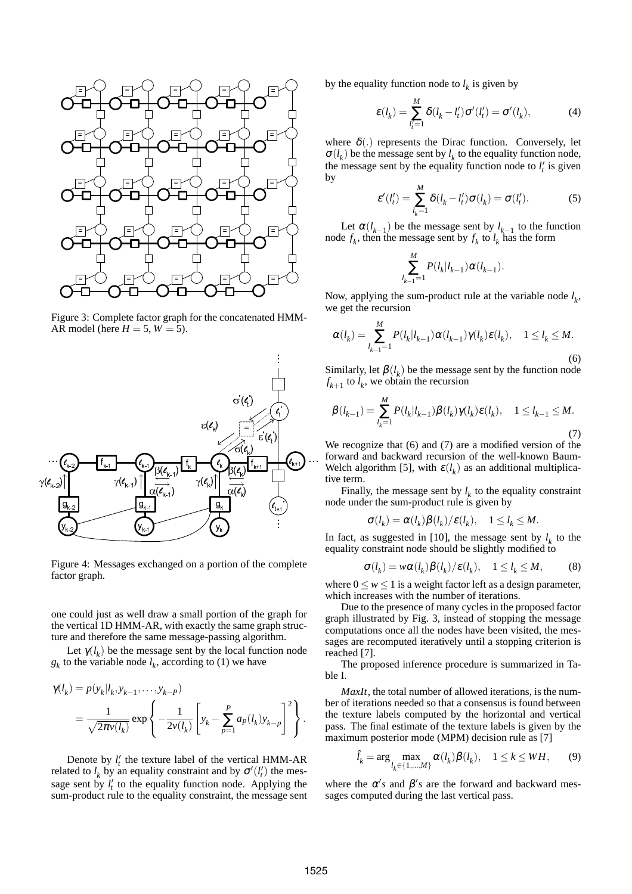

Figure 3: Complete factor graph for the concatenated HMM-AR model (here  $H = 5$ ,  $W = 5$ ).



Figure 4: Messages exchanged on a portion of the complete factor graph.

one could just as well draw a small portion of the graph for the vertical 1D HMM-AR, with exactly the same graph structure and therefore the same message-passing algorithm.

Let  $\gamma(l_k)$  be the message sent by the local function node  $g_k$  to the variable node  $l_k$ , according to (1) we have

$$
\gamma(l_k) = p(y_k|l_k, y_{k-1}, \dots, y_{k-P})
$$
  
= 
$$
\frac{1}{\sqrt{2\pi v(l_k)}} \exp \left\{-\frac{1}{2v(l_k)} \left[y_k - \sum_{p=1}^P a_p(l_k) y_{k-p}\right]^2\right\}.
$$

Denote by  $l'_t$  the texture label of the vertical HMM-AR related to  $l_k$  by an equality constraint and by  $\sigma'(l'_i)$  the message sent by  $l'_t$  to the equality function node. Applying the sum-product rule to the equality constraint, the message sent by the equality function node to  $l_k$  is given by

$$
\varepsilon(l_k) = \sum_{l'_i=1}^{M} \delta(l_k - l'_i) \sigma'(l'_i) = \sigma'(l_k),
$$
\n(4)

where  $\delta(.)$  represents the Dirac function. Conversely, let  $\sigma(l_k)$  be the message sent by  $l_k$  to the equality function node, the message sent by the equality function node to  $l'_t$  is given by

$$
\varepsilon'(l'_t) = \sum_{l_k=1}^{M} \delta(l_k - l'_t) \sigma(l_k) = \sigma(l'_t). \tag{5}
$$

Let  $\alpha(l_{k-1})$  be the message sent by  $l_{k-1}$  to the function node  $f_k$ , then the message sent by  $f_k$  to  $l_k$  has the form

$$
\sum_{l_{k-1}=1}^{M} P(l_k|l_{k-1}) \alpha(l_{k-1}).
$$

Now, applying the sum-product rule at the variable node  $l_k$ , we get the recursion

$$
\alpha(l_k) = \sum_{l_{k-1}=1}^{M} P(l_k|l_{k-1}) \alpha(l_{k-1}) \gamma(l_k) \varepsilon(l_k), \quad 1 \le l_k \le M.
$$
\n
$$
(6)
$$

Similarly, let  $\beta(l_k)$  be the message sent by the function node  $f_{k+1}$  to  $l_k$ , we obtain the recursion

$$
\beta(l_{k-1}) = \sum_{l_k=1}^{M} P(l_k | l_{k-1}) \beta(l_k) \gamma(l_k) \varepsilon(l_k), \quad 1 \le l_{k-1} \le M.
$$
\n(7)

We recognize that (6) and (7) are a modified version of the forward and backward recursion of the well-known Baum-Welch algorithm [5], with  $\varepsilon(l_k)$  as an additional multiplicative term.

Finally, the message sent by  $l_k$  to the equality constraint node under the sum-product rule is given by

$$
\sigma(l_k)=\alpha(l_k)\beta(l_k)/\varepsilon(l_k),\quad 1\leq l_k\leq M.
$$

In fact, as suggested in [10], the message sent by  $l_k$  to the equality constraint node should be slightly modified to

$$
\sigma(l_k) = w\alpha(l_k)\beta(l_k)/\varepsilon(l_k), \quad 1 \le l_k \le M,
$$
 (8)

where  $0 \le w \le 1$  is a weight factor left as a design parameter, which increases with the number of iterations.

Due to the presence of many cycles in the proposed factor graph illustrated by Fig. 3, instead of stopping the message computations once all the nodes have been visited, the messages are recomputed iteratively until a stopping criterion is reached [7].

The proposed inference procedure is summarized in Table I.

*MaxIt*, the total number of allowed iterations, is the number of iterations needed so that a consensus is found between the texture labels computed by the horizontal and vertical pass. The final estimate of the texture labels is given by the maximum posterior mode (MPM) decision rule as [7]

$$
\hat{l}_k = \arg\max_{l_k \in \{1, \dots, M\}} \alpha(l_k)\beta(l_k), \quad 1 \le k \le WH,\tag{9}
$$

where the  $\alpha'$ s and  $\beta'$ s are the forward and backward messages computed during the last vertical pass.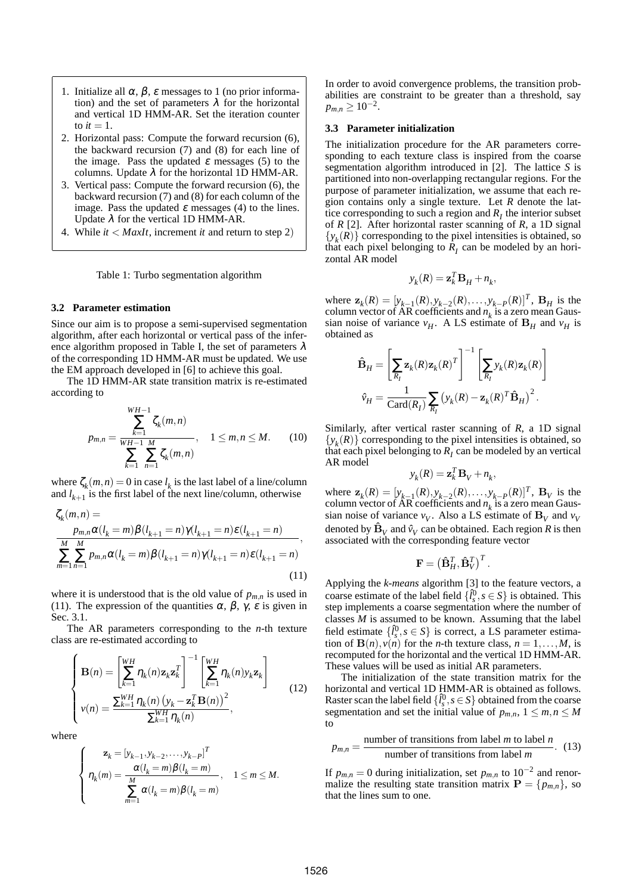- 1. Initialize all  $\alpha$ ,  $\beta$ ,  $\varepsilon$  messages to 1 (no prior information) and the set of parameters  $\lambda$  for the horizontal and vertical 1D HMM-AR. Set the iteration counter to  $it = 1$ .
- 2. Horizontal pass: Compute the forward recursion (6), the backward recursion (7) and (8) for each line of the image. Pass the updated  $\varepsilon$  messages (5) to the columns. Update  $\lambda$  for the horizontal 1D HMM-AR.
- 3. Vertical pass: Compute the forward recursion (6), the backward recursion (7) and (8) for each column of the image. Pass the updated  $\varepsilon$  messages (4) to the lines. Update  $\lambda$  for the vertical 1D HMM-AR.
- 4. While *it* < *MaxIt*, increment *it* and return to step 2)

### Table 1: Turbo segmentation algorithm

### **3.2 Parameter estimation**

Since our aim is to propose a semi-supervised segmentation algorithm, after each horizontal or vertical pass of the inference algorithm proposed in Table I, the set of parameters  $\lambda$ of the corresponding 1D HMM-AR must be updated. We use the EM approach developed in [6] to achieve this goal.

The 1D HMM-AR state transition matrix is re-estimated according to

$$
p_{m,n} = \frac{\sum_{k=1}^{WH-1} \zeta_k(m,n)}{\sum_{k=1}^{WH-1} \sum_{n=1}^{M} \zeta_k(m,n)}, \quad 1 \leq m, n \leq M. \tag{10}
$$

where  $\zeta_k(m,n) = 0$  in case  $l_k$  is the last label of a line/column and  $l_{k+1}$  is the first label of the next line/column, otherwise

$$
\zeta_k(m,n) = \frac{p_{m,n}\alpha(l_k=m)\beta(l_{k+1}=n)\gamma(l_{k+1}=n)\epsilon(l_{k+1}=n)}{\sum_{m=1}^M\sum_{n=1}^M p_{m,n}\alpha(l_k=m)\beta(l_{k+1}=n)\gamma(l_{k+1}=n)\epsilon(l_{k+1}=n)},
$$
\n(11)

where it is understood that is the old value of  $p_{m,n}$  is used in (11). The expression of the quantities  $\alpha$ ,  $\beta$ ,  $\gamma$ ,  $\varepsilon$  is given in Sec. 3.1.

The AR parameters corresponding to the *n*-th texture class are re-estimated according to

$$
\begin{cases}\n\mathbf{B}(n) = \left[\sum_{k=1}^{WH} \eta_k(n) \mathbf{z}_k \mathbf{z}_k^T\right]^{-1} \left[\sum_{k=1}^{WH} \eta_k(n) y_k \mathbf{z}_k\right] \\
v(n) = \frac{\sum_{k=1}^{WH} \eta_k(n) \left(y_k - \mathbf{z}_k^T \mathbf{B}(n)\right)^2}{\sum_{k=1}^{WH} \eta_k(n)},\n\end{cases} \tag{12}
$$

where

$$
\left\{\begin{array}{ll} \mathbf{z}_k=[y_{k-1},y_{k-2},\ldots,y_{k-P}]^T\\ \eta_k(m)=\frac{\alpha(l_k=m)\beta(l_k=m)}{\sum\limits_{m=1}^M\alpha(l_k=m)\beta(l_k=m)}, & 1\leq m\leq M. \end{array}\right.
$$

In order to avoid convergence problems, the transition probabilities are constraint to be greater than a threshold, say  $p_{m,n} \geq 10^{-2}$ .

### **3.3 Parameter initialization**

The initialization procedure for the AR parameters corresponding to each texture class is inspired from the coarse segmentation algorithm introduced in [2]. The lattice *S* is partitioned into non-overlapping rectangular regions. For the purpose of parameter initialization, we assume that each region contains only a single texture. Let *R* denote the lattice corresponding to such a region and  $R_I$  the interior subset of *R* [2]. After horizontal raster scanning of *R*, a 1D signal  ${y_k(R)}$  corresponding to the pixel intensities is obtained, so that each pixel belonging to  $R_I$  can be modeled by an horizontal AR model

$$
\mathbf{y}_k(R) = \mathbf{z}_k^T \mathbf{B}_H + n_k,
$$

where  $\mathbf{z}_k(R) = [y_{k-1}(R), y_{k-2}(R), \dots, y_{k-P}(R)]^T$ ,  $\mathbf{B}_H$  is the column vector of  $AR$  coefficients and  $n_k$  is a zero mean Gaussian noise of variance  $v_H$ . A LS estimate of  $B_H$  and  $v_H$  is obtained as

$$
\hat{\mathbf{B}}_H = \left[\sum_{R_I} \mathbf{z}_k(R) \mathbf{z}_k(R)^T\right]^{-1} \left[\sum_{R_I} y_k(R) \mathbf{z}_k(R)\right]
$$

$$
\hat{\mathbf{v}}_H = \frac{1}{\text{Card}(R_I)} \sum_{R_I} \left(y_k(R) - \mathbf{z}_k(R)^T \hat{\mathbf{B}}_H\right)^2.
$$

Similarly, after vertical raster scanning of *R*, a 1D signal  ${y_k(R)}$  corresponding to the pixel intensities is obtained, so that each pixel belonging to  $R_I$  can be modeled by an vertical AR model

$$
y_k(R) = \mathbf{z}_k^T \mathbf{B}_V + n_k,
$$

where  $\mathbf{z}_k(R) = [y_{k-1}(R), y_{k-2}(R), \dots, y_{k-P}(R)]^T$ ,  $\mathbf{B}_V$  is the column vector of  $AR$  coefficients and  $n_k$  is a zero mean Gaussian noise of variance  $v_V$ . Also a LS estimate of  $B_V$  and  $v_V$ denoted by  $\hat{\mathbf{B}}_V$  and  $\hat{v}_V$  can be obtained. Each region  $R$  is then associated with the corresponding feature vector

$$
\mathbf{F} = \left(\hat{\mathbf{B}}_H^T, \hat{\mathbf{B}}_V^T\right)^T.
$$

Applying the *k-means* algorithm [3] to the feature vectors, a coarse estimate of the label field  $\{\hat{l}_s^0, s \in S\}$  is obtained. This step implements a coarse segmentation where the number of classes *M* is assumed to be known. Assuming that the label field estimate  $\{\hat{l}_s^0, s \in S\}$  is correct, a LS parameter estimation of  $B(n)$ ,  $v(n)$  for the *n*-th texture class,  $n = 1, \ldots, M$ , is recomputed for the horizontal and the vertical 1D HMM-AR. These values will be used as initial AR parameters.

The initialization of the state transition matrix for the horizontal and vertical 1D HMM-AR is obtained as follows. Raster scan the label field  $\{\hat{l}_s^0, s \in S\}$  obtained from the coarse segmentation and set the initial value of  $p_{m,n}$ ,  $1 \leq m, n \leq M$ to

$$
p_{m,n} = \frac{\text{number of transitions from label } m \text{ to label } n}{\text{number of transitions from label } m}.
$$
 (13)

If  $p_{m,n} = 0$  during initialization, set  $p_{m,n}$  to  $10^{-2}$  and renormalize the resulting state transition matrix  $P = \{p_{m,n}\}\$ , so that the lines sum to one.